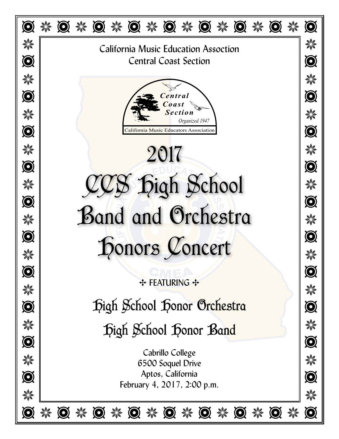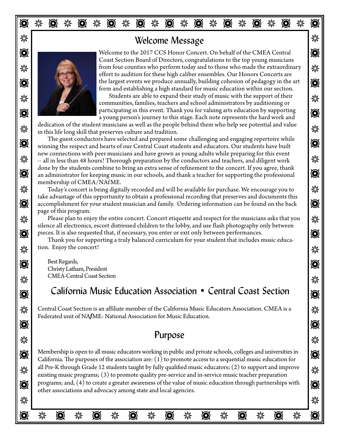## J J Welcome Message



 $\bullet$  Welcome to the 2017 CCS Honor Concert. On behalf of the CMEA Central  $\bullet$  $\frac{1}{2}$  from four counties who perform today and to those who made the extraordinary  $\bullet$  the largest events we produce annually, building cohesion of pedagogy in the art  $\bullet$ Coast Section Board of Directors, congratulations to the top young musicians effort to audition for these high caliber ensembles. Our Honors Concerts are form and establishing a high standard for music education within our section.

Students are able to expand their study of music with the support of their  $\frac{1}{N}$  $\bullet$  participating in this event. Thank you for valuing arts education by supporting  $\bullet$ communities, families, teachers and school administrators by auditioning or a young person's journey to this stage. Each note represents the hard work and

 $\frac{1}{2}$  in this life long skill that preserves culture and tradition. dedication of the student musicians as well as the people behind them who help see potential and value

 $\bullet$  winning the respect and hearts of our Central Coast students and educators. Our students have built  $\mathcal{H}$  -- all in less than 48 hours! Thorough preparation by the conductors and teachers, and diligent work  $\mathcal{H}$  $\bullet$  an administrator for keeping music in our schools, and thank a teacher for supporting the professional  $\bullet$ The guest conductors have selected and prepared some challenging and engaging repertoire while new connections with peer musicians and have grown as young adults while preparing for this event done by the students combine to bring an extra sense of refinement to the concert. If you agree, thank membership of CMEA/NAfME.

J J Today's concert is being digitally recorded and will be available for purchase. We encourage you to  $\bigcirc$  accomplishment for your student musician and family. Ordering information can be found on the back  $\bigcirc$ take advantage of this opportunity to obtain a professional recording that preserves and documents this page of this program.

 $\frac{1}{2}$  Please plan to enjoy the entire concert. Concert etiquette and respect for the musicians asks that you  $\bullet$   $\bullet$  pieces. It is also requested that, if necessary, you enter or exit only between performances. silence all electronics, escort distressed children to the lobby, and use flash photography only between

 $\frac{1}{2}$  tion. Enjoy the concert! Thank you for supporting a truly balanced curriculum for your student that includes music educa-

 $\bullet$  Fest Regards,  $\frac{1}{2}$  UNIEA-CENTRAL COAST SECTION Best Regards, Christy Latham, President CMEA-Central Coast Section

## $\odot$  California Music Education Association • Central Coast Section  $\odot$

SIMPLE THE Central Coast Section is an affiliate member of the California Music Educators Association. CMEA is a Federated unit of NA*f*ME: National Association for Music Education.

#### $\frac{1}{2}$   $\frac{1}{2}$   $\frac{1}{2}$   $\frac{1}{2}$   $\frac{1}{2}$   $\frac{1}{2}$   $\frac{1}{2}$   $\frac{1}{2}$   $\frac{1}{2}$   $\frac{1}{2}$   $\frac{1}{2}$   $\frac{1}{2}$   $\frac{1}{2}$   $\frac{1}{2}$   $\frac{1}{2}$   $\frac{1}{2}$   $\frac{1}{2}$   $\frac{1}{2}$   $\frac{1}{2}$   $\frac{1}{2}$   $\frac{1}{2}$   $\frac{1}{2}$  Purpose

 $\odot$  Membership is open to all music educators working in public and private schools, colleges and universities in  $\odot$ all Pre-K through Grade 12 students taught by fully qualified music educators; (2) to support and improve<br>avising music programs: (2) to promote quality pre-centies and in-service music teacher propertien  $\bigotimes$  | programs; and, (4) to create a greater awareness of the value of music education through partnerships with  $\bigotimes$ California. The purposes of the association are: (1) to promote access to a sequential music education for existing music programs; (3) to promote quality pre-service and in-service music teacher preparation other associations and advocacy among state and local agencies.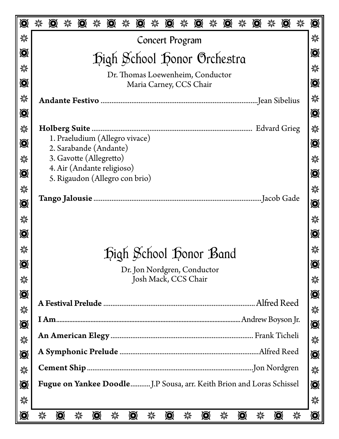| $\bigcircledcirc$ | 瀠<br>$\odot$<br>$\bigcirc$<br>$\odot$<br>$\odot$<br>$\odot$<br>纂<br>$\bigcircledcirc$<br>纂<br>$\odot$<br>纂<br>粼<br>$\bigcirc$<br>纂<br>$\bigcirc$    | $\bigcirc$     |
|-------------------|-----------------------------------------------------------------------------------------------------------------------------------------------------|----------------|
| 纂                 |                                                                                                                                                     | 縈              |
| $\bigcircledS$    | Concert Program                                                                                                                                     | $\bigcirc$     |
|                   | Digh School Honor Orchestra                                                                                                                         |                |
| 纂                 | Dr. Thomas Loewenheim, Conductor                                                                                                                    | 縈              |
| $\bigcircledcirc$ | Maria Carney, CCS Chair                                                                                                                             | $\bigcircledS$ |
| 纂                 | …Jean Sibelius                                                                                                                                      | 縈              |
| $\bigcircledcirc$ |                                                                                                                                                     | $\bigcircledS$ |
| 纂                 | <b>Edvard Grieg</b><br><b>Holberg Suite</b>                                                                                                         | 粼              |
| $\bigcircledcirc$ | 1. Praeludium (Allegro vivace)<br>2. Sarabande (Andante)                                                                                            | Ø              |
| 纂                 | 3. Gavotte (Allegretto)                                                                                                                             | 縈              |
| Ø                 | 4. Air (Andante religioso)<br>5. Rigaudon (Allegro con brio)                                                                                        | $\bigcircledR$ |
| 纂                 |                                                                                                                                                     | 檾              |
| $\bigcirc$        | Jacob Gade<br><b>Tango Jalousie</b>                                                                                                                 | Õ              |
| 纂                 |                                                                                                                                                     | 黲              |
| $\bigcircledS$    |                                                                                                                                                     | $\bigcircledS$ |
| 纂                 |                                                                                                                                                     | 檾              |
| $\bigcircledS$    | Digh School Donor Band                                                                                                                              | $\bigcirc$     |
| 纂                 | Dr. Jon Nordgren, Conductor<br>Josh Mack, CCS Chair                                                                                                 | 粼              |
| $\bigcirc$        |                                                                                                                                                     |                |
|                   |                                                                                                                                                     | $\bigcirc$     |
| 纂                 |                                                                                                                                                     | 粼              |
| $\bigcircledS$    |                                                                                                                                                     | $\bigcircledS$ |
| 纂                 |                                                                                                                                                     | 粼              |
| $\bigcircledS$    |                                                                                                                                                     | $\bigcircledS$ |
| 纂                 |                                                                                                                                                     | 縈              |
| $\bigcircledS$    |                                                                                                                                                     | $\bigcircledS$ |
| 纂                 |                                                                                                                                                     | 縈              |
| $\bigcirc$        | $\bigcircledS$<br>纂<br>$\odot$<br>$\bigcircledcirc$<br>$\bigcircledcirc$<br>$\bigcircledR$<br>纂<br>饕<br>$\odot$<br>纂<br>纂<br>纂<br>纂<br>$\odot$<br>纂 | $\bigcircledS$ |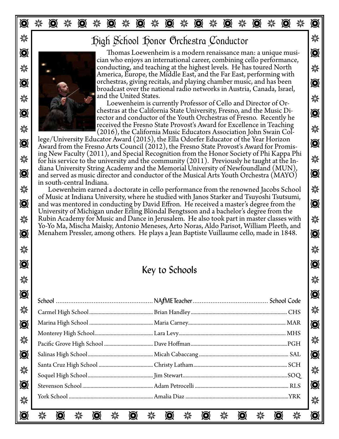# T J T J T J T J T J T J T J T J T J T J T

### $\mathbb{\mathcal{F}}$  Johnor School Honor Orchestra Conductor



Thomas Loewenheim is a modern renaissance man: a unique musi-<br>cian who enjoys an international career, combining cello performance,  $\frac{1}{2}$  conducting, and teaching at the highest levels. He has toured North  $\frac{1}{2}$  $\odot$ America, Europe, the Middle East, and the Far East, performing with broadcast over the national radio networks in Austria, Canada, Israel, and the United States.

**Example 2008** and the United States.<br>Loewenheim is currently Professor of Cello and Director of Or-Chestras at the California State University, Fresno, and the Music Di- $\frac{1}{2016}$  Technical Intervet of Freehold State Provost S Award for Excellence in Teaching<br>(2016), the California Music Educators Association John Swain Col rector and conductor of the Youth Orchestras of Fresno. Recently he received the Fresno State Provost's Award for Excellence in Teaching

 $\sum_{\text{two}}$  Tege/ University Educator Award (2013), the Ena Odorier Educator of the Fear Frontis-<br>ing New Faculty (2011), and Special Recognition from the Honor Society of Phi Kappa Phi For his service to the university and the community (2011). Previously he taught at the In-<br>diana University String Academy and the Memorial University of Newfoundland (MUN),  $\bullet$  and served as music director and conductor of the Musical Arts Youth Orchestra  $\left(\overline{MAYO}\right)$ lege/University Educator Award (2015), the Ella Odorfer Educator of the Year Horizon in south-central Indiana.

※ | Loewenheim earned a doctorate in cello performance from the renowned Jacobs School | ※  $\bigcirc$  and was mentored in conducting by David Effron. He received a master's degree from the  $\bigcirc$ **※ | Rubin Academy for Music and Dance in Jerusalem. He also took part in master classes with | ※**  $\odot$  | Menahem Pressler, among others. He plays a Jean Baptiste Vuillaume cello, made in 1848.  $\bigcirc$ of Music at Indiana University, where he studied with Janos Starker and Tsuyoshi Tsutsumi, University of Michigan under Erling Blöndal Bengtsson and a bachelor's degree from the Yo-Yo Ma, Mischa Maisky, Antonio Meneses, Arto Noras, Aldo Parisot, William Pleeth, and

### $\bullet$  T  $\bullet$  T  $\bullet$  T  $\bullet$  T  $\bullet$  T  $\bullet$  T  $\bullet$  T  $\bullet$  T  $\bullet$  T  $\bullet$  T  $\bullet$  T  $\bullet$  T  $\bullet$  T  $\bullet$  T  $\bullet$  T  $\bullet$  T  $\bullet$  T  $\bullet$  T  $\bullet$  T  $\bullet$  T  $\bullet$  T  $\bullet$  T  $\bullet$  T  $\bullet$  T  $\bullet$  T  $\bullet$  T  $\bullet$  T  $\bullet$  T  $\bullet$  T  $\bullet$  T  $\bullet$  T  $\bullet$  $\frac{1}{2}$   $\frac{1}{2}$   $\frac{1}{2}$   $\frac{1}{2}$   $\frac{1}{2}$   $\frac{1}{2}$   $\frac{1}{2}$   $\frac{1}{2}$   $\frac{1}{2}$   $\frac{1}{2}$   $\frac{1}{2}$   $\frac{1}{2}$   $\frac{1}{2}$   $\frac{1}{2}$   $\frac{1}{2}$   $\frac{1}{2}$   $\frac{1}{2}$   $\frac{1}{2}$   $\frac{1}{2}$   $\frac{1}{2}$   $\frac{1}{2}$   $\frac{1}{2}$  Key to Schools

 $\frac{1}{2}$   $\frac{1}{2}$   $\frac{1}{2}$   $\frac{1}{2}$   $\frac{1}{2}$   $\frac{1}{2}$   $\frac{1}{2}$   $\frac{1}{2}$   $\frac{1}{2}$   $\frac{1}{2}$   $\frac{1}{2}$   $\frac{1}{2}$   $\frac{1}{2}$   $\frac{1}{2}$   $\frac{1}{2}$   $\frac{1}{2}$   $\frac{1}{2}$   $\frac{1}{2}$   $\frac{1}{2}$   $\frac{1}{2}$   $\frac{1}{2}$   $\frac{1}{2}$ 

| $\bigcirc$               |                       | $\bigcirc$        |
|--------------------------|-----------------------|-------------------|
|                          |                       |                   |
| ☀                        |                       | ☀                 |
| $\textcircled{\small{}}$ |                       | $\bigcircledcirc$ |
|                          |                       |                   |
| ☀                        |                       | 纂                 |
| $\textcircled{\small{}}$ |                       | $\bigcircledS$    |
|                          |                       | 纂                 |
| ☀                        |                       |                   |
| $\textcircled{\small{}}$ |                       | $\bigcircledS$    |
| ☀                        |                       | 纂                 |
|                          |                       |                   |
| O                        | 縈<br>縈<br>纂<br>縈<br>縈 |                   |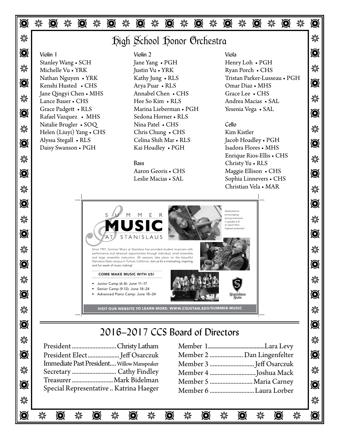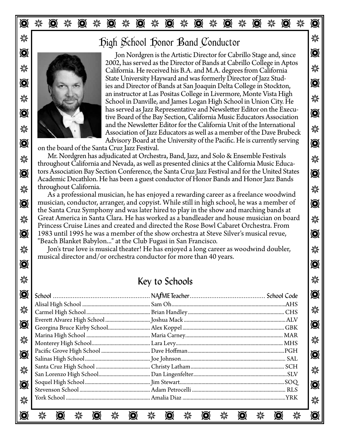### T J T J T J T J T J T J T J T J T J T J T

# $\mathbb{Z}$   $\mathbb{Z}$   $\mathbb{Z}$   $\mathbb{Z}$   $\mathbb{Z}$   $\mathbb{Z}$   $\mathbb{Z}$   $\mathbb{Z}$   $\mathbb{Z}$   $\mathbb{Z}$   $\mathbb{Z}$   $\mathbb{Z}$   $\mathbb{Z}$   $\mathbb{Z}$   $\mathbb{Z}$   $\mathbb{Z}$   $\mathbb{Z}$   $\mathbb{Z}$   $\mathbb{Z}$   $\mathbb{Z}$   $\mathbb{Z}$   $\mathbb{Z}$   $\mathbb{Z}$   $\mathbb{Z}$   $\mathbb{$



 $\bullet$  Jon Nordgren is the Artistic Director for Cabrillo Stage and, since  $\mathcal{H}$  California. He received his B.A. and M.A. degrees from California State University Hayward and was formerly Director of Jazz Stud-<br>ies and Director of Bands at San Joaquin Delta College in Stockton, School in Danville, and James Logan High School in Union City. He  $\odot$  This served as Jazz Representative and Newsletter Educators Association Association of Jazz Educators as well as a member of the Dave Brubeck  $\frac{1}{2}$  $\bullet$  Advisory Board at the University of the Pacific. He is currently serving 2002, has served as the Director of Bands at Cabrillo College in Aptos an instructor at Las Positas College in Livermore, Monte Vista High has served as Jazz Representative and Newsletter Editor on the Execuand the Newsletter Editor for the California Unit of the International

on the board of the Santa Cruz Jazz Festival.

Mr. Nordgren has adjudicated at Orchestra, Band, Jazz, and Solo & Ensemble Festivals  $\odot$  tors Association Bay Section Conference, the Santa Cruz Jazz Festival and for the United States  $\odot$  $\frac{1}{2}$  throughout California. throughout California and Nevada, as well as presented clinics at the California Music Educa-Academic Decathlon. He has been a guest conductor of Honor Bands and Honor Jazz Bands throughout California.

 $\odot$  musician, conductor, arranger, and copyist. While still in high school, he was a member of  $\odot$ **※ Great America in Santa Clara. He has worked as a bandleader and house musician on board** A  $\odot$  1983 until 1995 he was a member of the show orchestra at Steve Silver's musical revue,  $\odot$ As a professional musician, he has enjoyed a rewarding career as a freelance woodwind the Santa Cruz Symphony and was later hired to play in the show and marching bands at Princess Cruise Lines and created and directed the Rose Bowl Cabaret Orchestra. From "Beach Blanket Babylon..." at the Club Fugasi in San Francisco.

☀ │ │ Jon's true love is musical theater! He has enjoyed a long career as woodwind doubler, │ ☀ T T musical director and/or orchestra conductor for more than 40 years.

### J J Key to Schools

| $\odot$                       | $\bigcircledR$           |
|-------------------------------|--------------------------|
|                               |                          |
| ☀                             | 纂                        |
| $\textcircled{\small{\bf 0}}$ |                          |
|                               | $\textcircled{\small{}}$ |
| 纂                             |                          |
|                               | 纂                        |
| $\textcircled{\small{}}$      |                          |
|                               | $\bigcircledS$           |
|                               |                          |
| ☀                             | ☀                        |
|                               | $\bigcircledS$           |
| $\textcircled{\small{}}$      |                          |
| 瀠                             | 纂                        |
|                               |                          |
| Ô                             |                          |
|                               |                          |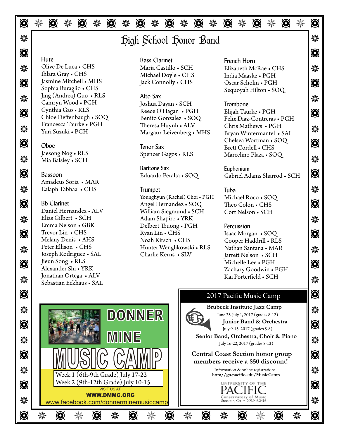### T J T J T J T J T J T J T J T J T J T J T

### $\mathbb{R}$  and  $\mathbb{R}$  igh School Honor Band

#### $\bullet$  T  $\bullet$  T  $\bullet$  T  $\bullet$  T  $\bullet$  T  $\bullet$  T  $\bullet$  T  $\bullet$  T  $\bullet$  T  $\bullet$  T  $\bullet$  T  $\bullet$  T  $\bullet$  T  $\bullet$  T  $\bullet$  T  $\bullet$  T  $\bullet$  T  $\bullet$  T  $\bullet$  T  $\bullet$  T  $\bullet$  T  $\bullet$  T  $\bullet$  T  $\bullet$  T  $\bullet$  T  $\bullet$  T  $\bullet$  T  $\bullet$  T  $\bullet$  T  $\bullet$  T  $\bullet$  T  $\bullet$ Flute

※ Olive De Luca • CHS Maria Castillo • SCH Elizabeth McRae • CHS ※  $\bigcirc$  Jasmine Mitchell • MHS Jack Connolly • CHS Oscar Scholin • PGH  $\bigcirc$ Olive De Luca • CHS Ihlara Gray • CHS Jasmine Mitchell • MHS Sophia Buraglio • CHS Jing (Andrea) Guo • RLS Camryn Wood • PGH Cynthia Gao • RLS Chloe Deffenbaugh • SOQ Francesca Taurke • PGH Yuri Suzuki • PGH

#### Oboe

 $\frac{1}{2}$  Mia Balsley • SCH exactly and the second second second second in the second in the second in the second in the second in the second in the second in the second in the second in the second in the second in the se Jaesong Nog • RLS

### J J Ealaph Tabbaa • CHS Bassoon Amadeus Soria • MAR

Sebastian Eckhaus • SAL Contract Contract Contract Contract Contract Contract Contract Contract Contract Contract Contract Contract Contract Contract Contract Contract Contract Contract Contract Contract Contract Contract Bb Clarinet Daniel Hernandez • ALV Elias Gilbert • SCH Emma Nelson • GBK Trevor Lin • CHS Melany Denis • AHS Peter Ellison • CHS *Music, Magic Barrow Barrow Barrow Barrow Barrow Barrow Charlie*<br>Joseph Rodriguez • SAL Charlie J Jieun Song • RLS Alexander Shi • YRK Jonathan Ortega • ALV  $\zeta$ our 25th Anniversary !!

### Bass Clarinet Maria Castillo • SCH Michael Doyle • CHS

<u>※</u> Jing (Andrea) Guo • KLS Alto Sax and The Country of The Country of The Country of The Country of The Country of The Country of The Country of The Country of The Country of The Country of The Country of The Country o T T Reece O'Hagan • PGH **X** Trancesca Taurice C T CIT Theresa Huylin C ALV Chris Mathews CPGH  $\sim$  Minimal CAT Alto Sax Joshua Dayan • SCH Benito Gonzalez • SOQ Theresa Huynh • ALV Margaux Leivenberg • MHS

> Tenor Sax Spencer Gagos • RLS

Baritone Sax Eduardo Peralta • SOQ

#### Trumpet

 $\odot$  Bb Clarinet Angel Hernandez • SOQ Theo Colon • CHS **\*\*\*** Elias Gilbert • SCH Adam Shapiro • YRK **Adam Shapiro • YRK**  $\bullet$  Trevor Lin • CHS Ryan Lin • CHS Isaac Morgan • SOQ  $\bullet$ J J Hunter Wenglikowski • RLS Younghyun (Rachel) Choi • PGH William Siegmund • SCH Delbert Truong • PGH Ryan Lin • CHS Noah Kirsch • CHS Charlie Kerns • SLV

French Horn India Maaske • PGH Oscar Scholin • PGH Sequoyah Hilton • SOQ

#### Trombone

 $\odot$   $\odot$   $\odot$   $\odot$   $\odot$   $\odot$   $\odot$   $\odot$   $\odot$   $\odot$   $\odot$   $\odot$   $\odot$   $\odot$   $\odot$   $\odot$   $\odot$   $\odot$   $\odot$   $\odot$   $\odot$   $\odot$   $\odot$   $\odot$   $\odot$   $\odot$   $\odot$   $\odot$   $\odot$   $\odot$   $\odot$   $\odot$   $\odot$   $\odot$   $\odot$   $\odot$   $\odot$ Elijah Taurke • PGH Felix Diaz-Contreras • PGH Chris Mathews • PGH Bryan Wintermantel • SAL Chelsea Wortman • SOQ Brett Cordell • CHS Marcelino Plaza • SOQ

 $\bullet$  Bassoon Eduardo Peralta • SOQ Gabriel Adams Sharrod • SCH  $\bullet$ Euphonium

#### Tuba Michael Roco • SOQ Theo Colon • CHS Cort Nelson • SCH

#### Percussion

 $\bigotimes$   $\bigcup_{\text{Neun Song } \bullet \text{ RLS}}$ Cooper Haddrill • RLS Nathan Santana • MAR Jarrett Nelson • SCH Michelle Lee • PGH Zachary Goodwin • PGH Kai Porterfield • SCH

### **O** 2017 Pacific Music Camp



I

I I I I

 **Brubeck Institute Jazz Camp**  June 25-July 1, 2017 (grades 8-12)  **Junior Band & Orchestra** 

July 9-15, 2017 (grades 5-8)

 **Senior Band, Orchestra, Choir & Piano** 

 **members receive a \$50 discount!** 

 Information & online registration: **http://go.pacific.edu/MusicCamp** 

Conservatory of Music<br>Stockton, CA \* 209.946.2416